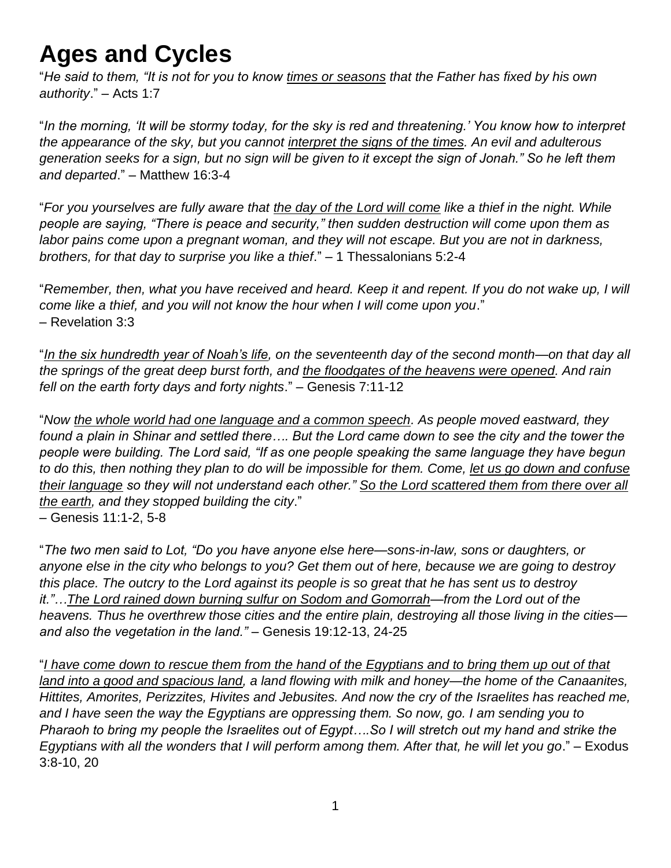## **Ages and Cycles**

"*He said to them, "It is not for you to know times or seasons that the Father has fixed by his own authority*." – Acts 1:7

"*In the morning, 'It will be stormy today, for the sky is red and threatening.' You know how to interpret the appearance of the sky, but you cannot interpret the signs of the times. An evil and adulterous generation seeks for a sign, but no sign will be given to it except the sign of Jonah." So he left them and departed*." – Matthew 16:3-4

"*For you yourselves are fully aware that the day of the Lord will come like a thief in the night. While people are saying, "There is peace and security," then sudden destruction will come upon them as labor pains come upon a pregnant woman, and they will not escape. But you are not in darkness, brothers, for that day to surprise you like a thief*." – 1 Thessalonians 5:2-4

"*Remember, then, what you have received and heard. Keep it and repent. If you do not wake up, I will come like a thief, and you will not know the hour when I will come upon you*." – Revelation 3:3

"*In the six hundredth year of Noah's life, on the seventeenth day of the second month—on that day all the springs of the great deep burst forth, and the floodgates of the heavens were opened. And rain fell on the earth forty days and forty nights*." – Genesis 7:11-12

"*Now the whole world had one language and a common speech. As people moved eastward, they found a plain in Shinar and settled there…. But the Lord came down to see the city and the tower the people were building. The Lord said, "If as one people speaking the same language they have begun to do this, then nothing they plan to do will be impossible for them. Come, let us go down and confuse their language so they will not understand each other." So the Lord scattered them from there over all the earth, and they stopped building the city*." – Genesis 11:1-2, 5-8

"*The two men said to Lot, "Do you have anyone else here—sons-in-law, sons or daughters, or anyone else in the city who belongs to you? Get them out of here, because we are going to destroy this place. The outcry to the Lord against its people is so great that he has sent us to destroy it."…The Lord rained down burning sulfur on Sodom and Gomorrah—from the Lord out of the heavens. Thus he overthrew those cities and the entire plain, destroying all those living in the cities and also the vegetation in the land."* – Genesis 19:12-13, 24-25

"*I have come down to rescue them from the hand of the Egyptians and to bring them up out of that land into a good and spacious land, a land flowing with milk and honey—the home of the Canaanites, Hittites, Amorites, Perizzites, Hivites and Jebusites. And now the cry of the Israelites has reached me, and I have seen the way the Egyptians are oppressing them. So now, go. I am sending you to Pharaoh to bring my people the Israelites out of Egypt….So I will stretch out my hand and strike the Egyptians with all the wonders that I will perform among them. After that, he will let you go*." – Exodus 3:8-10, 20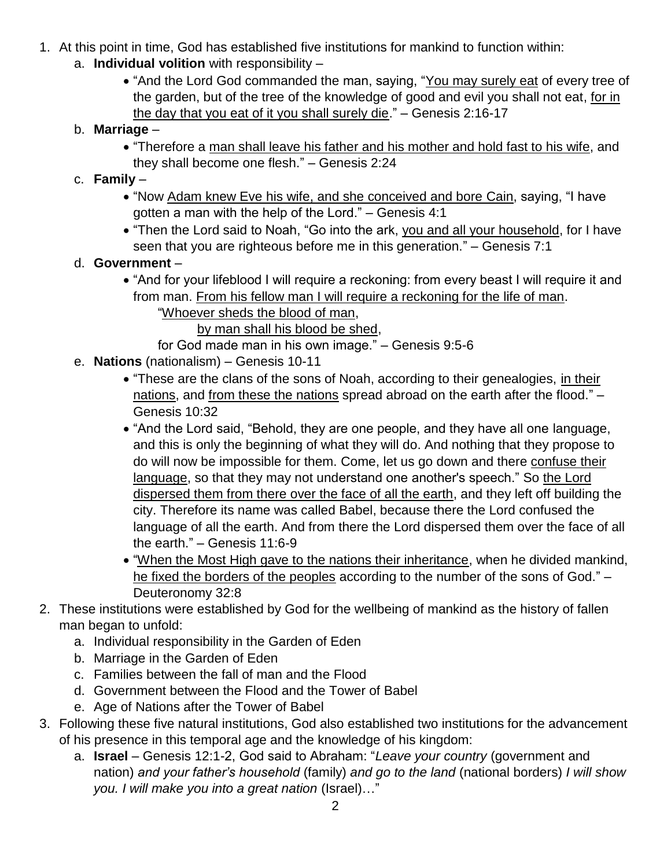- 1. At this point in time, God has established five institutions for mankind to function within:
	- a. **Individual volition** with responsibility
		- "And the Lord God commanded the man, saying, "You may surely eat of every tree of the garden, but of the tree of the knowledge of good and evil you shall not eat, for in the day that you eat of it you shall surely die." – Genesis 2:16-17
	- b. **Marriage**
		- "Therefore a man shall leave his father and his mother and hold fast to his wife, and they shall become one flesh." – Genesis 2:24
	- c. **Family**
		- "Now Adam knew Eve his wife, and she conceived and bore Cain, saying, "I have gotten a man with the help of the Lord." – Genesis 4:1
		- "Then the Lord said to Noah, "Go into the ark, you and all your household, for I have seen that you are righteous before me in this generation." – Genesis 7:1
	- d. **Government**
		- "And for your lifeblood I will require a reckoning: from every beast I will require it and from man. From his fellow man I will require a reckoning for the life of man.
			- "Whoever sheds the blood of man,

by man shall his blood be shed,

- for God made man in his own image." Genesis 9:5-6
- e. **Nations** (nationalism) Genesis 10-11
	- "These are the clans of the sons of Noah, according to their genealogies, in their nations, and from these the nations spread abroad on the earth after the flood." – Genesis 10:32
	- "And the Lord said, "Behold, they are one people, and they have all one language, and this is only the beginning of what they will do. And nothing that they propose to do will now be impossible for them. Come, let us go down and there confuse their language, so that they may not understand one another's speech." So the Lord dispersed them from there over the face of all the earth, and they left off building the city. Therefore its name was called Babel, because there the Lord confused the language of all the earth. And from there the Lord dispersed them over the face of all the earth." – Genesis 11:6-9
	- "When the Most High gave to the nations their inheritance, when he divided mankind, he fixed the borders of the peoples according to the number of the sons of God." -Deuteronomy 32:8
- 2. These institutions were established by God for the wellbeing of mankind as the history of fallen man began to unfold:
	- a. Individual responsibility in the Garden of Eden
	- b. Marriage in the Garden of Eden
	- c. Families between the fall of man and the Flood
	- d. Government between the Flood and the Tower of Babel
	- e. Age of Nations after the Tower of Babel
- 3. Following these five natural institutions, God also established two institutions for the advancement of his presence in this temporal age and the knowledge of his kingdom:
	- a. **Israel** Genesis 12:1-2, God said to Abraham: "*Leave your country* (government and nation) *and your father's household* (family) *and go to the land* (national borders) *I will show you. I will make you into a great nation* (Israel)…"